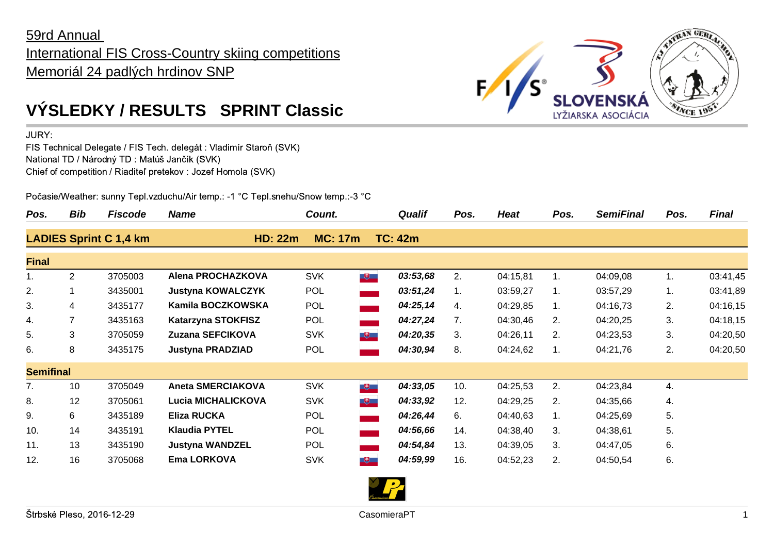## 59rd Annual International FIS Cross-Country skiing competitions Memoriál 24 padlých hrdinov SNP



JURY:

FIS Technical Delegate / FIS Tech. delegát : Vladimír Staroň (SVK) National TD / Národný TD : Matúš Jančík (SVK) Chief of competition / Riaditeľ pretekov : Jozef Homola (SVK)

Počasie/Weather: sunny Tepl.vzduchu/Air temp.: -1 °C Tepl.snehu/Snow temp.:-3 °C

| Pos.             | <b>Bib</b>     | <b>Fiscode</b>                | <b>Name</b>               | Count.         |                                       | <b>Qualif</b>  | Pos. | <b>Heat</b> | Pos. | <b>SemiFinal</b> | Pos. | <b>Final</b> |
|------------------|----------------|-------------------------------|---------------------------|----------------|---------------------------------------|----------------|------|-------------|------|------------------|------|--------------|
|                  |                | <b>LADIES Sprint C 1,4 km</b> | <b>HD: 22m</b>            | <b>MC: 17m</b> |                                       | <b>TC: 42m</b> |      |             |      |                  |      |              |
| <b>Final</b>     |                |                               |                           |                |                                       |                |      |             |      |                  |      |              |
| 1.               | $\overline{2}$ | 3705003                       | Alena PROCHAZKOVA         | <b>SVK</b>     | $\begin{array}{c} \hline \end{array}$ | 03:53,68       | 2.   | 04:15,81    |      | 04:09,08         | 1.   | 03:41,45     |
| 2.               |                | 3435001                       | <b>Justyna KOWALCZYK</b>  | <b>POL</b>     | $\overline{\phantom{m}}$              | 03:51,24       | 1.   | 03:59,27    | 1.   | 03:57,29         | 1.   | 03:41,89     |
| 3.               | 4              | 3435177                       | Kamila BOCZKOWSKA         | <b>POL</b>     |                                       | 04:25,14       | 4.   | 04:29,85    | 1.   | 04:16,73         | 2.   | 04:16,15     |
| 4.               |                | 3435163                       | <b>Katarzyna STOKFISZ</b> | POL            |                                       | 04:27,24       | 7.   | 04:30,46    | 2.   | 04:20,25         | 3.   | 04:18,15     |
| 5.               | 3              | 3705059                       | Zuzana SEFCIKOVA          | <b>SVK</b>     | $\overline{a}$                        | 04:20,35       | 3.   | 04:26,11    | 2.   | 04:23,53         | 3.   | 04:20,50     |
| 6.               | 8              | 3435175                       | <b>Justyna PRADZIAD</b>   | <b>POL</b>     |                                       | 04:30,94       | 8.   | 04:24,62    | 1.   | 04:21,76         | 2.   | 04:20,50     |
| <b>Semifinal</b> |                |                               |                           |                |                                       |                |      |             |      |                  |      |              |
| 7.               | 10             | 3705049                       | <b>Aneta SMERCIAKOVA</b>  | <b>SVK</b>     | $\begin{array}{c} \hline \end{array}$ | 04:33,05       | 10.  | 04:25,53    | 2.   | 04:23,84         | 4.   |              |
| 8.               | 12             | 3705061                       | <b>Lucia MICHALICKOVA</b> | <b>SVK</b>     | $+$                                   | 04:33,92       | 12.  | 04:29,25    | 2.   | 04:35,66         | 4.   |              |
| 9.               | 6              | 3435189                       | Eliza RUCKA               | <b>POL</b>     |                                       | 04:26,44       | 6.   | 04:40,63    |      | 04:25,69         | 5.   |              |
| 10.              | 14             | 3435191                       | <b>Klaudia PYTEL</b>      | POL            |                                       | 04:56,66       | 14.  | 04:38,40    | 3.   | 04:38,61         | 5.   |              |
| 11.              | 13             | 3435190                       | <b>Justyna WANDZEL</b>    | <b>POL</b>     |                                       | 04:54,84       | 13.  | 04:39,05    | 3.   | 04:47,05         | 6.   |              |
| 12.              | 16             | 3705068                       | Ema LORKOVA               | <b>SVK</b>     | $\begin{array}{c} \hline \end{array}$ | 04:59,99       | 16.  | 04:52,23    | 2.   | 04:50,54         | 6.   |              |